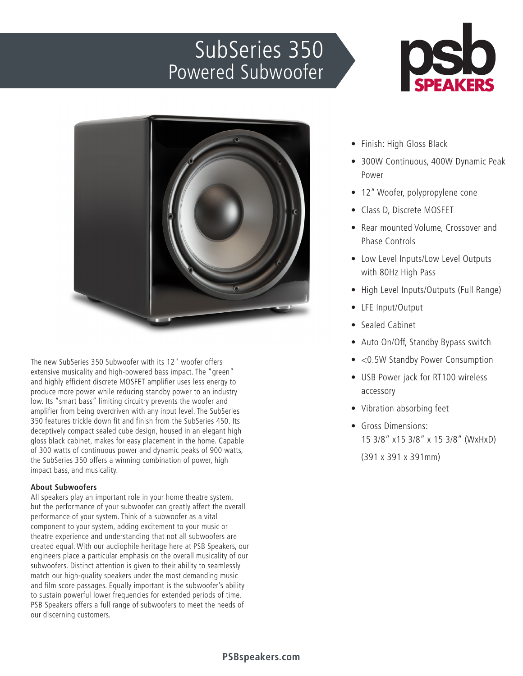## SubSeries 350 Powered Subwoofer





The new SubSeries 350 Subwoofer with its 12" woofer offers extensive musicality and high-powered bass impact. The "green" and highly efficient discrete MOSFET amplifier uses less energy to produce more power while reducing standby power to an industry low. Its "smart bass" limiting circuitry prevents the woofer and amplifier from being overdriven with any input level. The SubSeries 350 features trickle down fit and finish from the SubSeries 450. Its deceptively compact sealed cube design, housed in an elegant high gloss black cabinet, makes for easy placement in the home. Capable of 300 watts of continuous power and dynamic peaks of 900 watts, the SubSeries 350 offers a winning combination of power, high impact bass, and musicality.

## **About Subwoofers**

All speakers play an important role in your home theatre system, but the performance of your subwoofer can greatly affect the overall performance of your system. Think of a subwoofer as a vital component to your system, adding excitement to your music or theatre experience and understanding that not all subwoofers are created equal. With our audiophile heritage here at PSB Speakers, our engineers place a particular emphasis on the overall musicality of our subwoofers. Distinct attention is given to their ability to seamlessly match our high-quality speakers under the most demanding music and film score passages. Equally important is the subwoofer's ability to sustain powerful lower frequencies for extended periods of time. PSB Speakers offers a full range of subwoofers to meet the needs of our discerning customers.

- Finish: High Gloss Black
- 300W Continuous, 400W Dynamic Peak Power
- 12" Woofer, polypropylene cone
- Class D, Discrete MOSFET
- Rear mounted Volume, Crossover and Phase Controls
- Low Level Inputs/Low Level Outputs with 80Hz High Pass
- High Level Inputs/Outputs (Full Range)
- LFE Input/Output
- Sealed Cabinet
- Auto On/Off, Standby Bypass switch
- <0.5W Standby Power Consumption
- USB Power jack for RT100 wireless accessory
- Vibration absorbing feet
- Gross Dimensions: 15 3/8" x15 3/8" x 15 3/8" (WxHxD) (391 x 391 x 391mm)